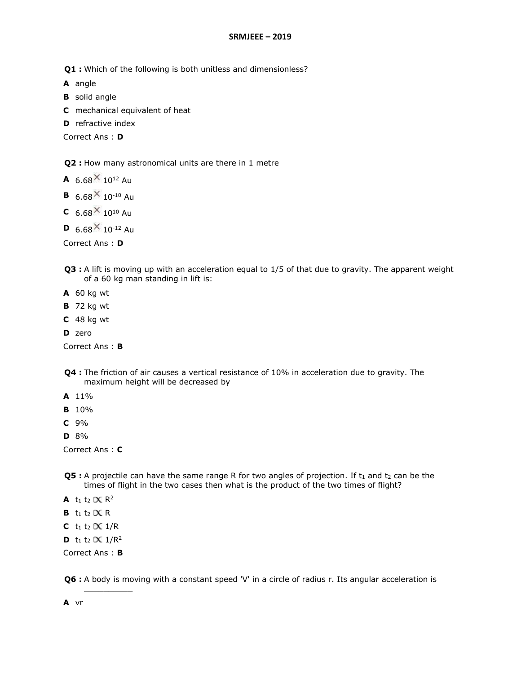**Q1 :** Which of the following is both unitless and dimensionless?

**A** angle

- **B** solid angle
- **C** mechanical equivalent of heat
- **D** refractive index

Correct Ans : **D**

**Q2 :** How many astronomical units are there in 1 metre

- **A**  $6.68 \times 10^{12}$  Au
- **B**  $6.68 \times 10^{-10}$  Au
- **C**  $6.68 \times 10^{10}$  Au
- **D** 6.68  $\times$  10<sup>-12</sup> Au

Correct Ans : **D**

- **Q3 :** A lift is moving up with an acceleration equal to 1/5 of that due to gravity. The apparent weight of a 60 kg man standing in lift is:
- **A** 60 kg wt
- **B** 72 kg wt
- **C** 48 kg wt
- **D** zero

Correct Ans : **B**

- **Q4 :** The friction of air causes a vertical resistance of 10% in acceleration due to gravity. The maximum height will be decreased by
- **A** 11%
- **B** 10%
- **C** 9%
- **D** 8%

Correct Ans : **C**

- **Q5 :** A projectile can have the same range R for two angles of projection. If t<sub>1</sub> and t<sub>2</sub> can be the times of flight in the two cases then what is the product of the two times of flight?
- **A** t<sub>1</sub> t<sub>2</sub>  $\propto$  R<sup>2</sup>
- **B**  $t_1$   $t_2 \propto R$
- **C** t<sub>1</sub> t<sub>2</sub>  $\propto$  1/R
- **D** t<sub>1</sub> t<sub>2</sub>  $\propto$  1/R<sup>2</sup>

Correct Ans : **B**

 $\frac{1}{2}$ 

**Q6 :** A body is moving with a constant speed 'V' in a circle of radius r. Its angular acceleration is

**A** vr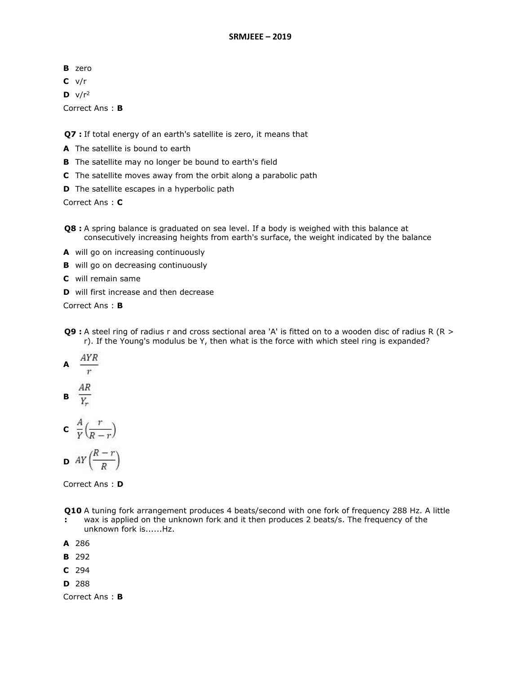- **B** zero
- **C** v/r
- $D \quad \sqrt{r^2}$

Correct Ans : **B**

**Q7 :** If total energy of an earth's satellite is zero, it means that

- **A** The satellite is bound to earth
- **B** The satellite may no longer be bound to earth's field
- **C** The satellite moves away from the orbit along a parabolic path
- **D** The satellite escapes in a hyperbolic path

Correct Ans : **C**

- **Q8 :** A spring balance is graduated on sea level. If a body is weighed with this balance at consecutively increasing heights from earth's surface, the weight indicated by the balance
- **A** will go on increasing continuously
- **B** will go on decreasing continuously
- **C** will remain same
- **D** will first increase and then decrease

Correct Ans : **B**

- **Q9 :** A steel ring of radius r and cross sectional area 'A' is fitted on to a wooden disc of radius R (R > r). If the Young's modulus be Y, then what is the force with which steel ring is expanded?
- AYR **A**
- $\overline{r}$

$$
\mathbf{B} \quad \frac{A}{Y_r}
$$

$$
c \frac{A}{Y}\left(\frac{r}{R-r}\right)
$$

$$
\mathbf{D} \quad AY\left(\frac{R-r}{R}\right)
$$



- **Q10**  A tuning fork arrangement produces 4 beats/second with one fork of frequency 288 Hz. A little **:** wax is applied on the unknown fork and it then produces 2 beats/s. The frequency of the
- unknown fork is......Hz.
- **A** 286
- **B** 292
- **C** 294
- **D** 288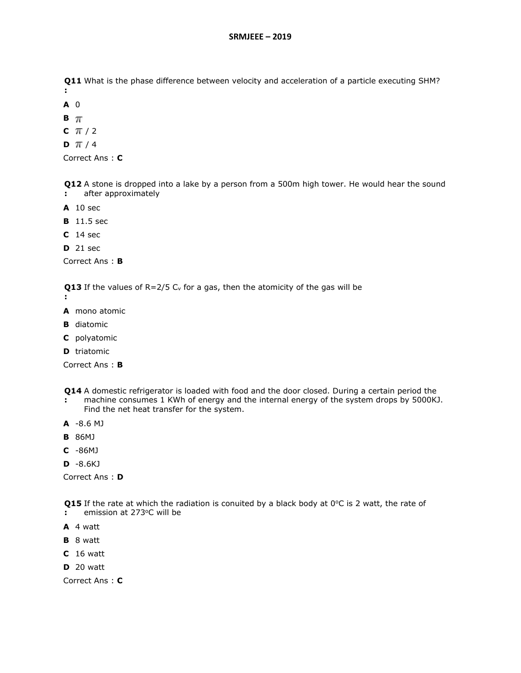**Q11**  What is the phase difference between velocity and acceleration of a particle executing SHM? **:**

- **A** 0
- $B \pi$
- **C**  $\pi/2$
- **D**  $\pi$  / 4

Correct Ans : **C**

**Q12**  A stone is dropped into a lake by a person from a 500m high tower. He would hear the sound **:** after approximately

- **A** 10 sec
- **B** 11.5 sec
- **C** 14 sec
- **D** 21 sec

Correct Ans : **B**

**Q13**  If the values of R=2/5 C<sup>v</sup> for a gas, then the atomicity of the gas will be

- **:**
- **A** mono atomic
- **B** diatomic
- **C** polyatomic
- **D** triatomic

Correct Ans : **B**

- **Q14**  A domestic refrigerator is loaded with food and the door closed. During a certain period the
- **:** machine consumes 1 KWh of energy and the internal energy of the system drops by 5000KJ. Find the net heat transfer for the system.
- **A** -8.6 MJ
- **B** 86MJ
- **C** -86MJ

**D** -8.6KJ

Correct Ans : **D**

**Q15** If the rate at which the radiation is conuited by a black body at  $0^{\circ}$ C is 2 watt, the rate of

- **:** emission at 273°C will be
- **A** 4 watt
- **B** 8 watt
- **C** 16 watt
- **D** 20 watt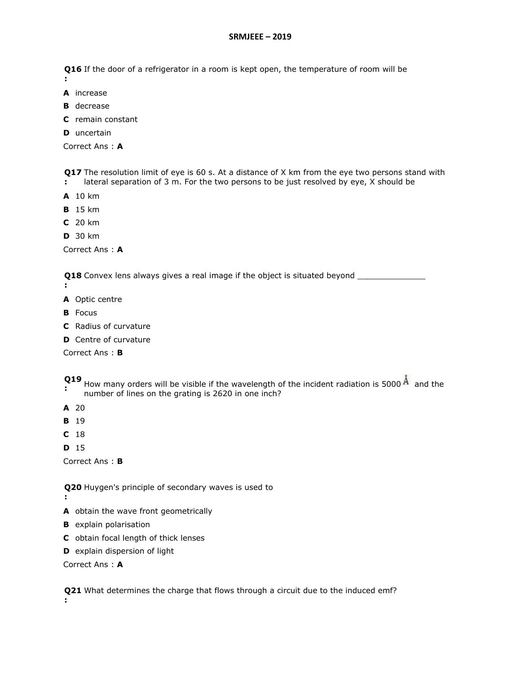**Q16**  If the door of a refrigerator in a room is kept open, the temperature of room will be

- **:**
- **A** increase
- **B** decrease
- **C** remain constant
- **D** uncertain

Correct Ans : **A**

**Q17** The resolution limit of eye is 60 s. At a distance of X km from the eye two persons stand with **:** lateral separation of 3 m. For the two persons to be just resolved by eye, X should be

- **A** 10 km
- **B** 15 km
- **C** 20 km
- **D** 30 km

Correct Ans : **A**

**Q18** Convex lens always gives a real image if the object is situated beyond \_\_\_\_\_\_\_\_\_\_\_\_\_\_\_\_

- **:**
- **A** Optic centre
- **B** Focus
- **C** Radius of curvature
- **D** Centre of curvature

Correct Ans : **B**

- **Q19**
- **:** How many orders will be visible if the wavelength of the incident radiation is 5000  $\AA$  and the number of lines on the grating is 2620 in one inch?
- **A** 20
- **B** 19
- **C** 18

**D** 15

**:**

Correct Ans : **B**

**Q20**  Huygen's principle of secondary waves is used to

- **A** obtain the wave front geometrically
- **B** explain polarisation
- **C** obtain focal length of thick lenses
- **D** explain dispersion of light

Correct Ans : **A**

**Q21**  What determines the charge that flows through a circuit due to the induced emf?**:**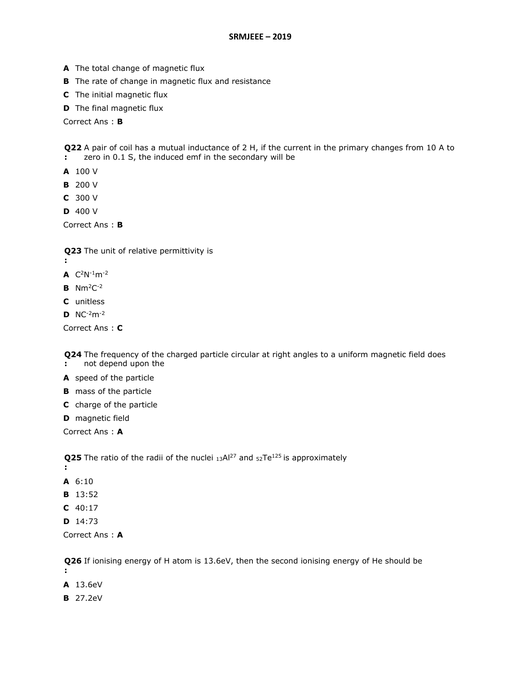- **A** The total change of magnetic flux
- **B** The rate of change in magnetic flux and resistance
- **C** The initial magnetic flux
- **D** The final magnetic flux

Correct Ans : **B**

**Q22**  A pair of coil has a mutual inductance of 2 H, if the current in the primary changes from 10 A to **:** zero in 0.1 S, the induced emf in the secondary will be

- **A** 100 V
- **B** 200 V
- **C** 300 V
- **D** 400 V

Correct Ans : **B**

**Q23**  The unit of relative permittivity is

- **:**
- **A**  $C^2N^{-1}m^{-2}$
- **B** Nm<sup>2</sup>C-2
- **C** unitless
- **D** NC-2m-2

Correct Ans : **C**

**Q24**  The frequency of the charged particle circular at right angles to a uniform magnetic field does **:** not depend upon the

**A** speed of the particle

- **B** mass of the particle
- **C** charge of the particle

**D** magnetic field

Correct Ans : **A**

**Q25** The ratio of the radii of the nuclei 13Al<sup>27</sup> and 52Te<sup>125</sup> is approximately

- **:**
- **A** 6:10
- **B** 13:52
- **C** 40:17
- **D** 14:73

Correct Ans : **A**

**Q26**  If ionising energy of H atom is 13.6eV, then the second ionising energy of He should be **:**

**A** 13.6eV

**B** 27.2eV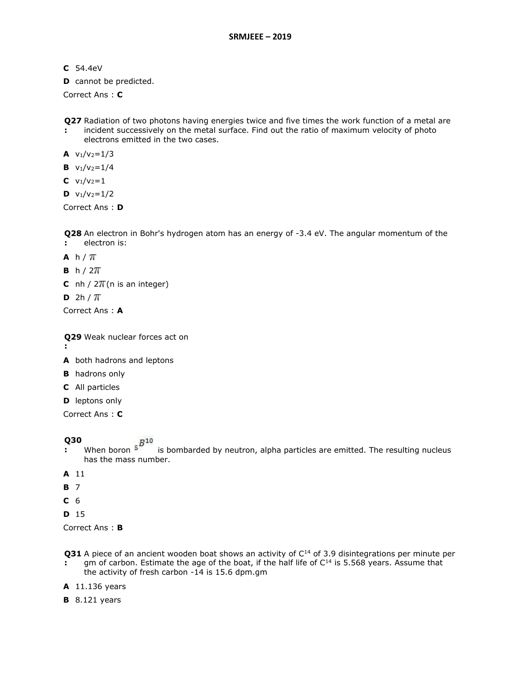- **C** 54.4eV
- **D** cannot be predicted.

Correct Ans : **C**

**Q27**  Radiation of two photons having energies twice and five times the work function of a metal are

**:** incident successively on the metal surface. Find out the ratio of maximum velocity of photo electrons emitted in the two cases.

**A**  $v_1/v_2=1/3$ 

- **B**  $v_1/v_2=1/4$
- **C**  $v_1/v_2=1$
- $D \quad v_1/v_2=1/2$

Correct Ans : **D**

**Q28**  An electron in Bohr's hydrogen atom has an energy of -3.4 eV. The angular momentum of the

- **:** electron is:
- A  $h / \pi$
- **B**  $h / 2\pi$
- **C** nh /  $2\pi$ (n is an integer)
- $D$  2h /  $T$

Correct Ans : **A**

**Q29**  Weak nuclear forces act on

- **:**
- **A** both hadrons and leptons
- **B** hadrons only
- **C** All particles
- **D** leptons only

Correct Ans : **C**

- **Q30 When boron**  $s^{B10}$ **:** When boron  $5^{\circ}$  is bombarded by neutron, alpha particles are emitted. The resulting nucleus has the mass number.
- **A** 11
- **B** 7
- **C** 6
- **D** 15

- **Q31** A piece of an ancient wooden boat shows an activity of C<sup>14</sup> of 3.9 disintegrations per minute per **:** gm of carbon. Estimate the age of the boat, if the half life of  $C^{14}$  is 5.568 years. Assume that
- the activity of fresh carbon -14 is 15.6 dpm.gm
- **A** 11.136 years
- **B** 8.121 years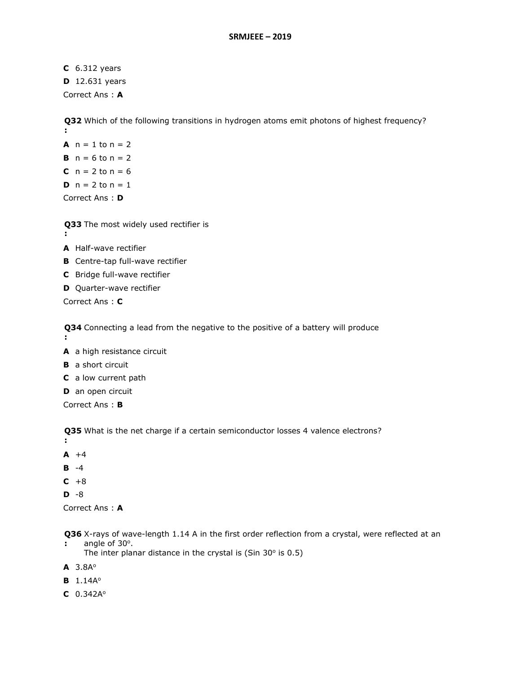**C** 6.312 years **D** 12.631 years Correct Ans : **A**

**Q32**  Which of the following transitions in hydrogen atoms emit photons of highest frequency? **:**

**A**  $n = 1$  to  $n = 2$ **B**  $n = 6$  to  $n = 2$ **C**  $n = 2$  to  $n = 6$ **D**  $n = 2$  to  $n = 1$ Correct Ans : **D**

**Q33**  The most widely used rectifier is

- **:**
- **A** Half-wave rectifier
- **B** Centre-tap full-wave rectifier
- **C** Bridge full-wave rectifier
- **D** Quarter-wave rectifier

Correct Ans : **C**

**Q34**  Connecting a lead from the negative to the positive of a battery will produce

- **:**
- **A** a high resistance circuit
- **B** a short circuit
- **C** a low current path
- **D** an open circuit

Correct Ans : **B**

**Q35**  What is the net charge if a certain semiconductor losses 4 valence electrons?

- **:**
- $A + 4$
- **B** -4
- $C + 8$
- **D** -8

Correct Ans : **A**

**Q36**  X-rays of wave-length 1.14 A in the first order reflection from a crystal, were reflected at an **:** angle of  $30^\circ$ .

The inter planar distance in the crystal is (Sin  $30^\circ$  is 0.5)

**A** 3.8A<sup>o</sup>

**B** 1.14A<sup>o</sup>

**C** 0.342A<sup>o</sup>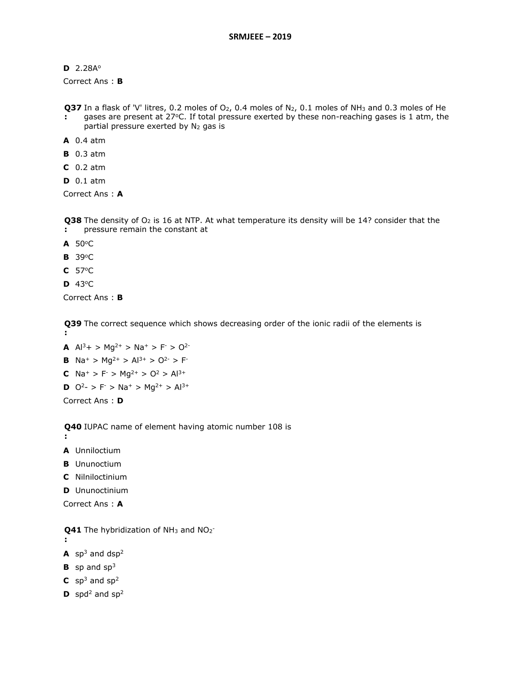**D** 2.28A<sup>o</sup>

Correct Ans : **B**

**Q37** In a flask of 'V' litres, 0.2 moles of O<sub>2</sub>, 0.4 moles of N<sub>2</sub>, 0.1 moles of NH<sub>3</sub> and 0.3 moles of He

- **:** gases are present at 27°C. If total pressure exerted by these non-reaching gases is 1 atm, the partial pressure exerted by N<sub>2</sub> gas is
- **A** 0.4 atm
- **B** 0.3 atm
- **C** 0.2 atm
- **D** 0.1 atm

Correct Ans : **A**

**Q38** The density of O<sub>2</sub> is 16 at NTP. At what temperature its density will be 14? consider that the

- **:** pressure remain the constant at
- **A** 50<sup>o</sup>C
- **B** 39<sup>o</sup>C
- **C** 57<sup>o</sup>C
- **D** 43<sup>o</sup>C

Correct Ans : **B**

**Q39**  The correct sequence which shows decreasing order of the ionic radii of the elements is **:**

**A**  $Al^3+$  >  $Mq^{2+}$  >  $Na^+$  >  $F^{\dagger}$  >  $O^{2-}$ **B**  $\text{Na}^+$  >  $\text{Mg}^{2+}$  >  $\text{Al}^{3+}$  >  $\text{O}^{2-}$  > F<sup>-</sup> **C**  $Na^+ > F^- > Mg^{2+} > O^2 > Al^{3+}$ **D**  $Q^2$ - > F > Na<sup>+</sup> > Mg<sup>2+</sup> > Al<sup>3+</sup> Correct Ans : **D**

**Q40**  IUPAC name of element having atomic number 108 is

**:**

**:**

- **A** Unniloctium
- **B** Ununoctium
- **C** Nilniloctinium
- **D** Ununoctinium
- Correct Ans : **A**

**Q41** The hybridization of NH<sub>3</sub> and NO<sub>2</sub>-

- $A$  sp<sup>3</sup> and dsp<sup>2</sup>
- **B** sp and sp<sup>3</sup>
- $C$  sp<sup>3</sup> and sp<sup>2</sup>
- **D** spd<sup>2</sup> and sp<sup>2</sup>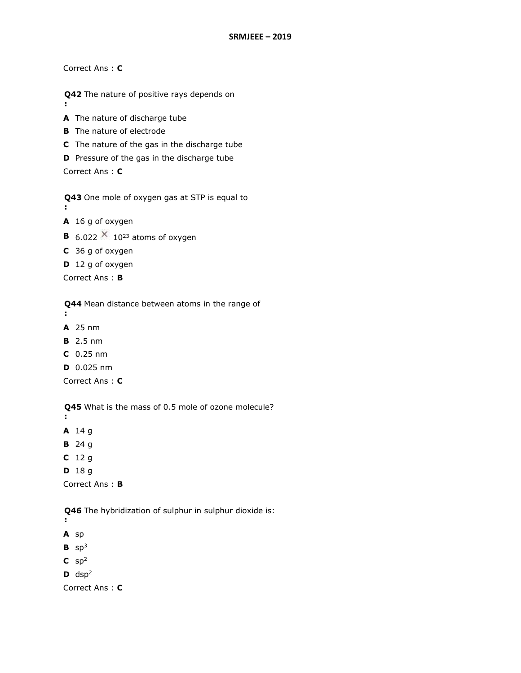Correct Ans : **C**

**:**

**Q42**  The nature of positive rays depends on

**A** The nature of discharge tube

- **B** The nature of electrode
- **C** The nature of the gas in the discharge tube

**D** Pressure of the gas in the discharge tube

Correct Ans : **C**

**Q43**  One mole of oxygen gas at STP is equal to **:**

**A** 16 g of oxygen

- **B** 6.022  $\times$  10<sup>23</sup> atoms of oxygen
- **C** 36 g of oxygen
- **D** 12 g of oxygen

Correct Ans : **B**

**Q44**  Mean distance between atoms in the range of

- **:**
- **A** 25 nm
- **B** 2.5 nm
- **C** 0.25 nm
- **D** 0.025 nm

Correct Ans : **C**

**Q45**  What is the mass of 0.5 mole of ozone molecule?

**:**

- **A** 14 g
- **B** 24 g
- **C** 12 g
- **D** 18 g

Correct Ans : **B**

**Q46**  The hybridization of sulphur in sulphur dioxide is:

**:**

- **A** sp
- $B$  sp<sup>3</sup>
- $C$  sp<sup>2</sup>
- $D$  dsp<sup>2</sup>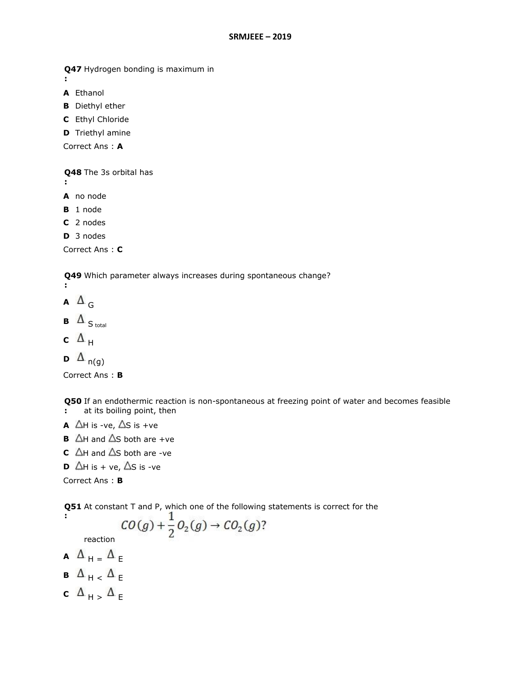**Q47**  Hydrogen bonding is maximum in **:**

**A** Ethanol

**B** Diethyl ether

**C** Ethyl Chloride

**D** Triethyl amine

Correct Ans : **A**

**Q48**  The 3s orbital has

**:**

**A** no node

**B** 1 node

**C** 2 nodes

**D** 3 nodes

Correct Ans : **C**

**Q49**  Which parameter always increases during spontaneous change? **:**

 $A \Delta$ <sup>G</sup>

**B**  $\Delta$ <sub>S total</sub>

c  $\Delta$ <sub>H</sub>

```
D \Delta<sub>n(g)</sub>
```
Correct Ans : **B**

**Q50**  If an endothermic reaction is non-spontaneous at freezing point of water and becomes feasible **:** at its boiling point, then

- **A**  $\Delta H$  is -ve,  $\Delta S$  is +ve
- **B**  $\Delta$ H and  $\Delta$ S both are +ve
- **C**  $\Delta$ H and  $\Delta$ S both are -ve
- **D**  $\Delta$ H is + ve,  $\Delta$ S is -ve

Correct Ans : **B**

**:**

**Q51**  At constant T and P, which one of the following statements is correct for the

$$
CO(g) + \frac{1}{2}O_2(g) \rightarrow CO_2(g)?
$$

reaction

- $\mathbf{A} \quad \mathbf{\Delta}_{H} = \mathbf{\Delta}_{E}$
- **B**  $\Delta$ <sub>H <</sub>  $\Delta$ <sub>E</sub>
- **c**  $\Delta$ <sub>H ></sub>  $\Delta$ <sub>E</sub>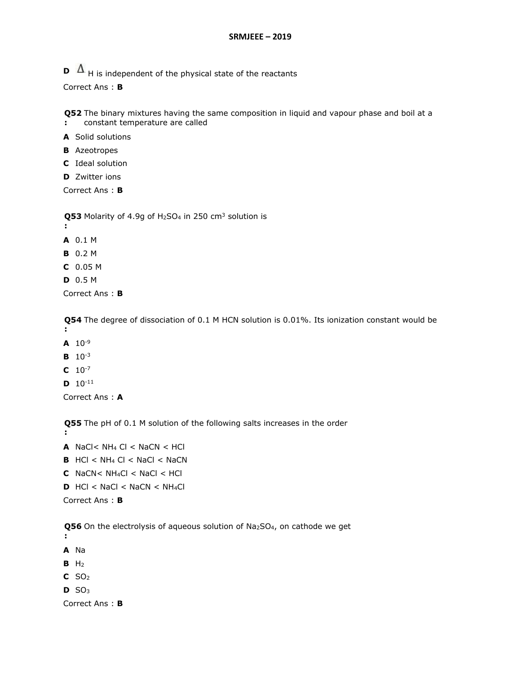**D**  $\Delta$ <sub>H</sub> is independent of the physical state of the reactants

Correct Ans : **B**

**Q52**  The binary mixtures having the same composition in liquid and vapour phase and boil at a **:** constant temperature are called

**A** Solid solutions

- **B** Azeotropes
- **C** Ideal solution
- **D** Zwitter ions

Correct Ans : **B**

**Q53** Molarity of 4.9g of H<sub>2</sub>SO<sub>4</sub> in 250 cm<sup>3</sup> solution is

- **:**
- **A** 0.1 M
- **B** 0.2 M
- **C** 0.05 M
- **D** 0.5 M

Correct Ans : **B**

**Q54**  The degree of dissociation of 0.1 M HCN solution is 0.01%. Its ionization constant would be

- **:**
- $A$  10<sup>-9</sup>
- **B** 10-3
- **C** 10-7
- **D** 10-11

Correct Ans : **A**

**Q55**  The pH of 0.1 M solution of the following salts increases in the order **:**

- **A** NaCl<  $NH_4$  Cl < NaCN <  $HCl$ **B**  $HCl < NH<sub>4</sub> Cl < NaCl < NaCN$ **C** NaCN<  $NH_4Cl$  < NaCl < HCl
- $D$  HCl < NaCl < NaCN < NH<sub>4</sub>Cl

Correct Ans : **B**

**Q56** On the electrolysis of aqueous solution of Na<sub>2</sub>SO<sub>4</sub>, on cathode we get

- **:**
- **A** Na
- **B** H<sup>2</sup>
- **C** SO<sub>2</sub>
- **D** SO<sup>3</sup>

```
Correct Ans : B
```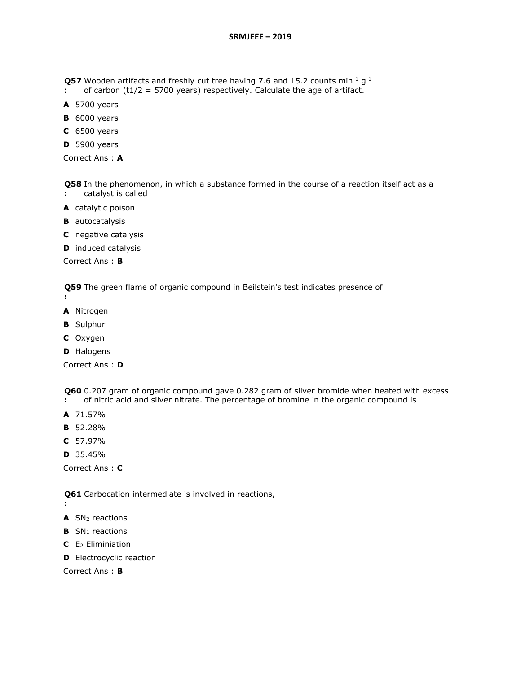**Q57** Wooden artifacts and freshly cut tree having 7.6 and 15.2 counts min<sup>-1</sup>  $g^{-1}$ 

- **:** of carbon ( $t1/2$  = 5700 years) respectively. Calculate the age of artifact.
- **A** 5700 years
- **B** 6000 years
- **C** 6500 years
- **D** 5900 years

Correct Ans : **A**

**Q58**  In the phenomenon, in which a substance formed in the course of a reaction itself act as a **:** catalyst is called

- **A** catalytic poison
- **B** autocatalysis
- **C** negative catalysis
- **D** induced catalysis

Correct Ans : **B**

**Q59**  The green flame of organic compound in Beilstein's test indicates presence of

- **:**
- **A** Nitrogen
- **B** Sulphur
- **C** Oxygen
- **D** Halogens

Correct Ans : **D**

**Q60**  0.207 gram of organic compound gave 0.282 gram of silver bromide when heated with excess

- **:** of nitric acid and silver nitrate. The percentage of bromine in the organic compound is
- **A** 71.57%
- **B** 52.28%
- **C** 57.97%
- **D** 35.45%

Correct Ans : **C**

**Q61**  Carbocation intermediate is involved in reactions,

- **:**
- **A** SN<sup>2</sup> reactions
- **B** SN<sub>1</sub> reactions
- **C** E<sup>2</sup> Eliminiation
- **D** Electrocyclic reaction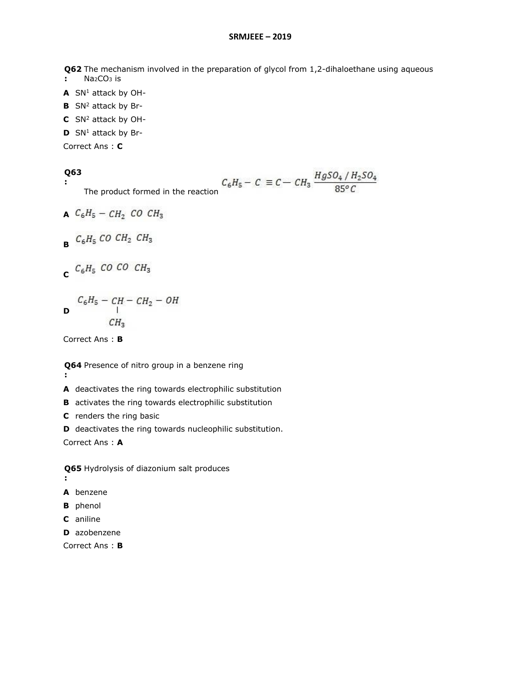**Q62**  The mechanism involved in the preparation of glycol from 1,2-dihaloethane using aqueous **:** Na2CO<sup>3</sup> is

- **A** SN<sup>1</sup> attack by OH-
- **B** SN<sup>2</sup> attack by Br-
- **C** SN<sup>2</sup> attack by OH-
- **D** SN<sup>1</sup> attack by Br-

Correct Ans : **C**

#### **Q63 :**

$$
C_6H_5 - C \equiv C - CH_3 \frac{HgSO_4 / H_2SO_4}{85^{\circ}C}
$$

The product formed in the reaction

$$
A \quad C_6H_5 - CH_2 \quad CO \quad CH_3
$$
\n
$$
B \quad C_6H_5 \quad CO \quad CH_2 \quad CH_3
$$

$$
C \, {}^{C_6H_5} \, CO \, CO \, CH_3
$$

$$
C_6H_5 - CH - CH_2 - OH
$$
  
 
$$
CH_3
$$

Correct Ans : **B**

- **Q64**  Presence of nitro group in a benzene ring **:**
- **A** deactivates the ring towards electrophilic substitution
- **B** activates the ring towards electrophilic substitution
- **C** renders the ring basic
- **D** deactivates the ring towards nucleophilic substitution.

Correct Ans : **A**

**Q65**  Hydrolysis of diazonium salt produces **:**

- **A** benzene
- **B** phenol
- **C** aniline
- **D** azobenzene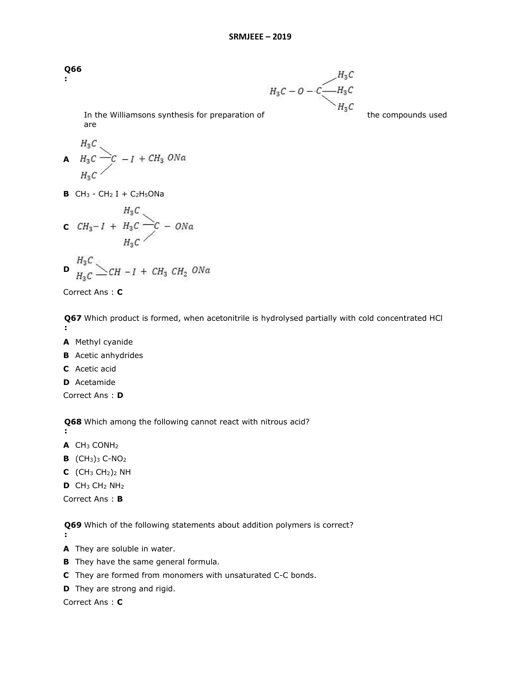**Q66 :**

 $H_3C$ <br>In the Williamsons synthesis for preparation of  $H_3C$  the compounds used

are

$$
A H_3C
$$
  
\n
$$
H_3C
$$
  
\n
$$
H_4C
$$
  
\n
$$
H_5C
$$

**B**  $CH_3$  -  $CH_2$  I +  $C_2H_5ONa$ 

$$
C\ \ CH_3-I\ +\ H_3C\ \overbrace{H_3C}^{H_3C} -C\ -\ ONa
$$

$$
\mathbf{D} \quad H_3C \quad H_3C \quad \text{CH} - I + CH_3 \quad CH_2 \quad ONa
$$

Correct Ans : **C**

**Q67**  Which product is formed, when acetonitrile is hydrolysed partially with cold concentrated HCl **:**

- **A** Methyl cyanide
- **B** Acetic anhydrides
- **C** Acetic acid
- **D** Acetamide

Correct Ans : **D**

**Q68**  Which among the following cannot react with nitrous acid?

**:**

- **A** CH<sup>3</sup> CONH<sup>2</sup>
- **B** (CH3)<sup>3</sup> C-NO<sup>2</sup>
- **C** (CH<sup>3</sup> CH2)<sup>2</sup> NH
- **D** CH<sup>3</sup> CH<sup>2</sup> NH<sup>2</sup>

Correct Ans : **B**

**Q69**  Which of the following statements about addition polymers is correct?

**:**

- **A** They are soluble in water.
- **B** They have the same general formula.
- **C** They are formed from monomers with unsaturated C-C bonds.
- **D** They are strong and rigid.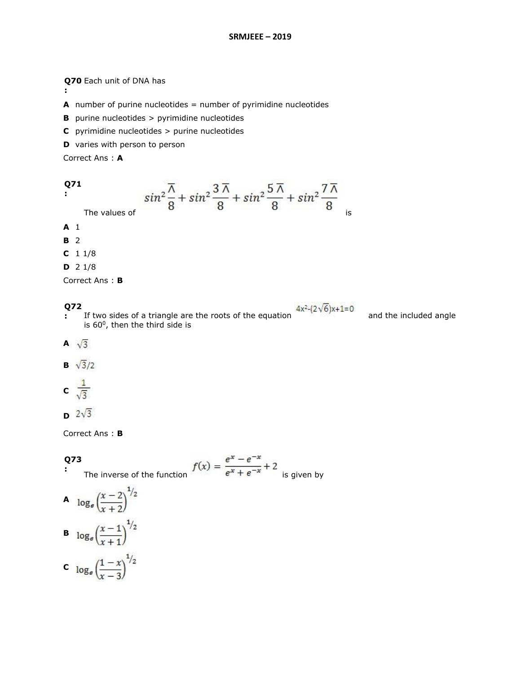## **Q70**  Each unit of DNA has

- **A** number of purine nucleotides = number of pyrimidine nucleotides
- **B** purine nucleotides > pyrimidine nucleotides
- **C** pyrimidine nucleotides > purine nucleotides

₩

**D** varies with person to person

Correct Ans : **A**

$$
\begin{array}{c}\n 271 \\
 \vdots\n \end{array}
$$

**:**

$$
\sin^2 \frac{\overline{\Lambda}}{8} + \sin^2 \frac{3\overline{\Lambda}}{8} + \sin^2 \frac{5\overline{\Lambda}}{8} + \sin^2 \frac{7\overline{\Lambda}}{8}
$$

- 22

**A** 1

**B** 2

**C** 1 1/8

**D** 2 1/8

Correct Ans : **B**

# **Q72**

**:** If two sides of a triangle are the roots of the equation **and the included angle** is 60<sup>0</sup>, then the third side is

تستخل

- A  $\sqrt{3}$
- **B**  $\sqrt{3}/2$
- c  $\frac{1}{\sqrt{3}}$
- $\sqrt{3}$

Correct Ans : **B**

#### **Q73 :**

The inverse of the function  $f(x) = \frac{e^x - e^{-x}}{e^x + e^{-x}} + 2$  is given by - 200

A 
$$
\log_e \left(\frac{x-2}{x+2}\right)^{1/2}
$$
  
B  $\log_e \left(\frac{x-1}{x+1}\right)^{1/2}$   
C  $\log_e \left(\frac{1-x}{x-3}\right)^{1/2}$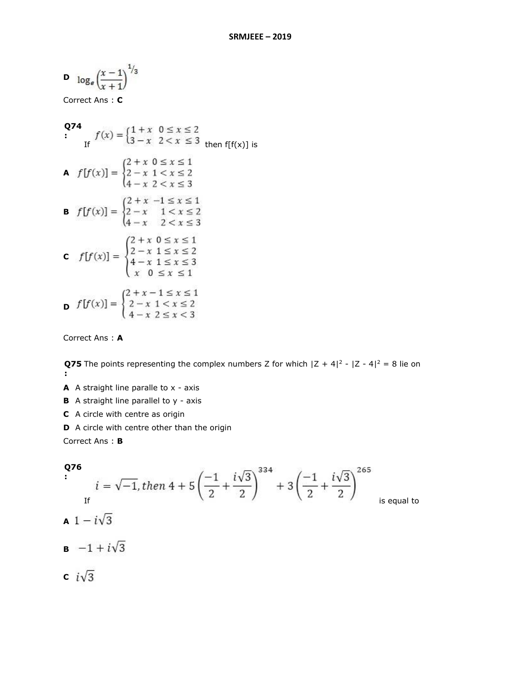$$
\mathbf{D} \quad \log_e \left( \frac{x-1}{x+1} \right)^{1/3}
$$

Correct Ans : **C**

**Q74**  
\nIf 
$$
f(x) = \begin{cases} 1 + x & 0 \le x \le 2 \\ 3 - x & 2 < x \le 3 \end{cases}
$$
 then  $f[f(x)]$  is  
\n**A**  $f[f(x)] = \begin{cases} 2 + x & 0 \le x \le 1 \\ 2 - x & 1 < x \le 2 \\ 4 - x & 2 < x \le 3 \end{cases}$   
\n**B**  $f[f(x)] = \begin{cases} 2 + x & -1 \le x \le 1 \\ 2 - x & 1 < x \le 2 \\ 4 - x & 2 < x \le 3 \end{cases}$   
\n**C**  $f[f(x)] = \begin{cases} 2 + x & 0 \le x \le 1 \\ 2 - x & 1 \le x \le 2 \\ 4 - x & 1 \le x \le 2 \\ x & 0 \le x \le 1 \end{cases}$   
\n**D**  $f[f(x)] = \begin{cases} 2 + x - 1 \le x \le 1 \\ 2 - x & 1 < x \le 2 \\ 4 - x & 2 \le x < 3 \end{cases}$ 

Correct Ans : **A**

**Q75** The points representing the complex numbers Z for which  $|Z + 4|^2 - |Z - 4|^2 = 8$  lie on **:**

- **A** A straight line paralle to x axis
- **B** A straight line parallel to y axis
- **C** A circle with centre as origin
- **D** A circle with centre other than the origin

**Q76**  
\n
$$
i = \sqrt{-1}, \text{ then } 4 + 5\left(\frac{-1}{2} + \frac{i\sqrt{3}}{2}\right)^{334} + 3\left(\frac{-1}{2} + \frac{i\sqrt{3}}{2}\right)^{265}
$$
  
\n**A**  $1 - i\sqrt{3}$   
\n**B**  $-1 + i\sqrt{3}$   
\n**C**  $i\sqrt{3}$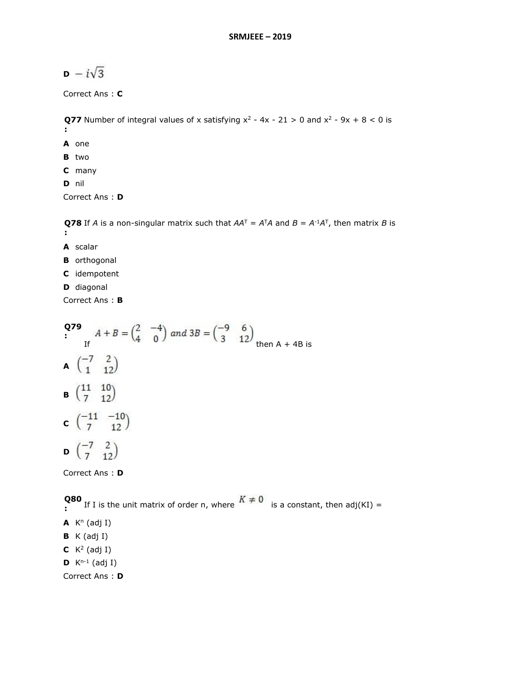# $\mathbf{D} - i\sqrt{3}$

Correct Ans : **C**

**Q77** Number of integral values of x satisfying  $x^2 - 4x - 21 > 0$  and  $x^2 - 9x + 8 < 0$  is **: A** one **B** two

- **C** many
- **D** nil

Correct Ans : **D**

**Q78** If *A* is a non-singular matrix such that  $AA^T = A^TA$  and  $B = A^{-1}A^T$ , then matrix *B* is **:**

- **A** scalar
- **B** orthogonal
- **C** idempotent
- **D** diagonal

Correct Ans : **B**

**Q79 :** If then  $A + 4B$  is A  $\begin{pmatrix} -7 & 2 \\ 1 & 12 \end{pmatrix}$ **B**  $\begin{pmatrix} 11 & 10 \\ 7 & 12 \end{pmatrix}$ **c**  $\begin{pmatrix} -11 & -10 \\ 7 & 12 \end{pmatrix}$ **D**  $\begin{pmatrix} -7 & 2 \\ 7 & 12 \end{pmatrix}$ 

Correct Ans : **D**

**Q80**  If I is the unit matrix of order n, where in  $\frac{1}{2}$  is a constant, then adj(KI) =  $A$  K<sup>n</sup> (adj I) **B** K (adj I) **C**  $K^2$  (adj I) **D**  $K^{n-1}$  (adj I) Correct Ans : **D**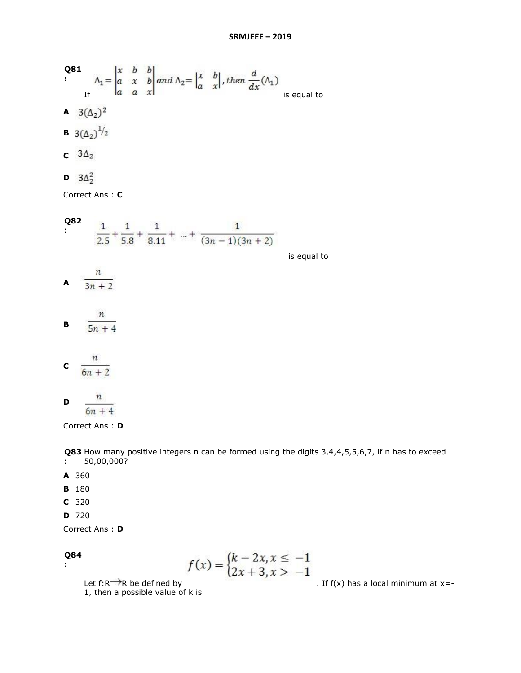Q81  
\n
$$
\frac{1}{2} \begin{vmatrix} x & b & b \\ a & x & b \\ a & a & x \end{vmatrix} and \Delta_2 = \begin{vmatrix} x & b \\ a & x \end{vmatrix}, then \frac{d}{dx}(\Delta_1)
$$
\n
$$
A \ 3(\Delta_2)^2
$$
\nB\n
$$
3(\Delta_2)^{1/2}
$$
\nC\n
$$
3\Delta_2
$$
\nD\n
$$
3\Delta_2^2
$$
\nCorrect Ans: C  
\nQ82  
\n
$$
\frac{1}{2.5} + \frac{1}{5.8} + \frac{1}{8.11} + ... + \frac{1}{(3n-1)(3n+2)}
$$
\nis equal to\n
$$
\frac{n}{3n+2}
$$
\nB\n
$$
\frac{n}{5n+4}
$$
\nC\n
$$
\frac{n}{6n+2}
$$
\nD\n
$$
\frac{n}{2}
$$

 $6n + 4$ Correct Ans : **D**

**Q83** How many positive integers n can be formed using the digits 3,4,4,5,5,6,7, if n has to exceed **:** 50,00,000?

- **A** 360
- **B** 180
- **C** 320
- **D** 720

Correct Ans : **D**

#### **Q84 :**

$$
f(x) = \begin{cases} k - 2x, x \le -1 \\ 2x + 3, x > -1 \end{cases}
$$

Let  $f: R \longrightarrow R$  be defined by<br>1, then a possible value of k is

 $\frac{1}{\sqrt{2}}$ . If f(x) has a local minimum at x=-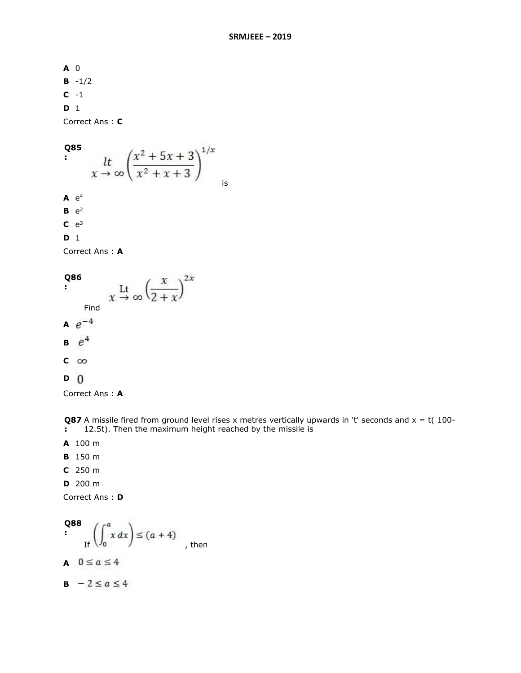**A** 0 **B** -1/2 **C** -1 **D** 1

Correct Ans : **C**

```
Q85 
   :
                        is
\mathsf{A} e^4B e^2C e^3D 1
```
Correct Ans : **A**

 $x \stackrel{\text{Lt}}{\rightarrow} \infty \left(\frac{x}{2+x}\right)^{2x}$ **Q86 :** Find  $A e^{-4}$  $B \theta^4$  $c \infty$ **D**

Correct Ans : **A**

**Q87** A missile fired from ground level rises x metres vertically upwards in 't' seconds and x = t( 100-**:** 12.5t). Then the maximum height reached by the missile is

- **A** 100 m
- **B** 150 m
- **C** 250 m
- **D** 200 m

Q88  
\n
$$
\left(\int_0^a x \, dx\right) \le (a+4)
$$
\nA  $0 \le a \le 4$   
\nB  $-2 \le a \le 4$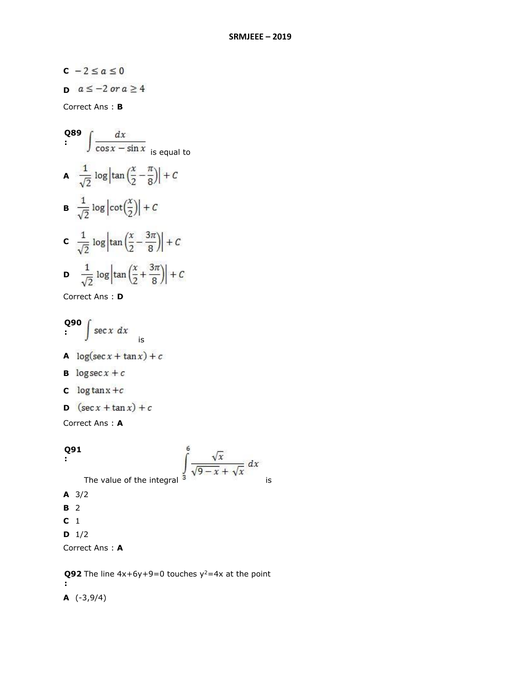$c - 2 \le a \le 0$ **D**  $a \le -2$  or  $a \ge 4$ 

Correct Ans : **B**

Q89 
$$
\int \frac{dx}{\cos x - \sin x}
$$
  
\nA 
$$
\frac{1}{\sqrt{2}} \log \left| \tan \left( \frac{x}{2} - \frac{\pi}{8} \right) \right| + C
$$
  
\nB 
$$
\frac{1}{\sqrt{2}} \log \left| \cot \left( \frac{x}{2} \right) \right| + C
$$
  
\nC 
$$
\frac{1}{\sqrt{2}} \log \left| \tan \left( \frac{x}{2} - \frac{3\pi}{8} \right) \right| + C
$$
  
\nD 
$$
\frac{1}{\sqrt{2}} \log \left| \tan \left( \frac{x}{2} + \frac{3\pi}{8} \right) \right| + C
$$

Correct Ans : **D**

$$
\begin{array}{c}\n\mathbf{Q90} \\
\mathbf{30} \\
\mathbf{41} \\
\mathbf{52} \\
\mathbf{53} \\
\mathbf{54} \\
\mathbf{61} \\
\mathbf{71} \\
\mathbf{81} \\
\mathbf{71} \\
\mathbf{81} \\
\mathbf{81} \\
\mathbf{91} \\
\mathbf{91} \\
\mathbf{91} \\
\mathbf{91} \\
\mathbf{91} \\
\mathbf{91} \\
\mathbf{91} \\
\mathbf{91} \\
\mathbf{91} \\
\mathbf{91} \\
\mathbf{91} \\
\mathbf{91} \\
\mathbf{91} \\
\mathbf{91} \\
\mathbf{91} \\
\mathbf{91} \\
\mathbf{91} \\
\mathbf{91} \\
\mathbf{91} \\
\mathbf{91} \\
\mathbf{91} \\
\mathbf{91} \\
\mathbf{91} \\
\mathbf{91} \\
\mathbf{91} \\
\mathbf{91} \\
\mathbf{91} \\
\mathbf{91} \\
\mathbf{91} \\
\mathbf{91} \\
\mathbf{91} \\
\mathbf{91} \\
\mathbf{91} \\
\mathbf{91} \\
\mathbf{91} \\
\mathbf{91} \\
\mathbf{91} \\
\mathbf{91} \\
\mathbf{91} \\
\mathbf{91} \\
\mathbf{91} \\
\mathbf{91} \\
\mathbf{91} \\
\mathbf{91} \\
\mathbf{91} \\
\mathbf{91} \\
\mathbf{91} \\
\mathbf{91} \\
\mathbf{91} \\
\mathbf{91} \\
\mathbf{91} \\
\mathbf{91} \\
\mathbf{91} \\
\mathbf{91} \\
\mathbf{91} \\
\mathbf{91} \\
\mathbf{91} \\
\mathbf{91} \\
\mathbf{91} \\
\mathbf{91} \\
\mathbf{91} \\
\mathbf{91} \\
\mathbf{91} \\
\mathbf{91} \\
\mathbf{91} \\
\mathbf{91} \\
\mathbf{91} \\
\mathbf{91} \\
\mathbf{91} \\
\mathbf{91} \\
\mathbf{91} \\
\mathbf{91} \\
\mathbf{91} \\
\mathbf{91} \\
\mathbf{91} \\
\mathbf{91} \\
\mathbf{91} \\
\mathbf{91} \\
\mathbf{91} \\
\mathbf{91} \\
\mathbf{91} \\
\mathbf{91}
$$

- **B**  $\log \sec x + c$
- **c**  $\log \tan x + c$
- **D**  $(\sec x + \tan x) + c$

Correct Ans : **A**

# **Q91**

$$
\mathbf{E}^{\mathbf{r}}_{\mathbf{r}}(\cdot)
$$

The value of the integral 
$$
\int_{0}^{6} \frac{\sqrt{x}}{\sqrt{9-x} + \sqrt{x}} dx
$$

**A** 3/2

- **B** 2
- **C** 1
- **D** 1/2

Correct Ans : **A**

**Q92** The line  $4x+6y+9=0$  touches  $y^2=4x$  at the point **: A** (-3,9/4)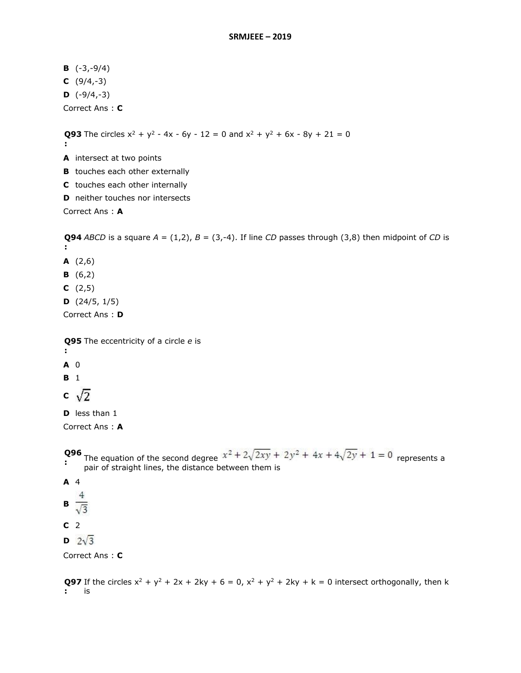**B** (-3,-9/4) **C** (9/4,-3)  $D \quad (-9/4,-3)$ Correct Ans : **C**

**Q93** The circles  $x^2 + y^2 - 4x - 6y - 12 = 0$  and  $x^2 + y^2 + 6x - 8y + 21 = 0$ 

- **:**
- **A** intersect at two points
- **B** touches each other externally
- **C** touches each other internally
- **D** neither touches nor intersects

Correct Ans : **A**

**Q94** ABCD is a square  $A = (1,2)$ ,  $B = (3,-4)$ . If line CD passes through (3,8) then midpoint of CD is **:**

- **A** (2,6)
- **B** (6,2)
- **C** (2,5)
- **D** (24/5, 1/5)

Correct Ans : **D**

**Q95**  The eccentricity of a circle *e* is

- **:**
- **A** 0

**B** 1

c  $\sqrt{2}$ 

**D** less than 1

Correct Ans : **A**

# **:**

**Q96** The equation of the second degree  $x^2 + 2\sqrt{2xy} + 2y^2 + 4x + 4\sqrt{2y} + 1 = 0$  represents a pair of straight lines, the distance between them is

### **A** 4

- 
- **B**  $\frac{4}{\sqrt{3}}$
- **C** 2
- $P \t 2\sqrt{3}$

Correct Ans : **C**

**Q97** If the circles  $x^2 + y^2 + 2x + 2ky + 6 = 0$ ,  $x^2 + y^2 + 2ky + k = 0$  intersect orthogonally, then k **:** is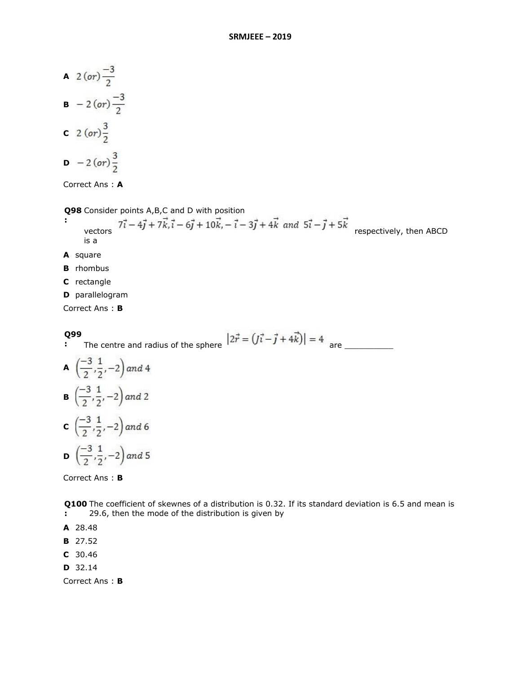A 
$$
2 (or) \frac{-3}{2}
$$
  
\nB  $- 2 (or) \frac{-3}{2}$   
\nC  $2 (or) \frac{3}{2}$   
\nD  $- 2 (or) \frac{3}{2}$ 

Correct Ans : **A**

**Q98**  Consider points A,B,C and D with position

- **:** vectors  $7\vec{i} - 4\vec{j} + 7\vec{k}, \vec{i} - 6\vec{j} + 10\vec{k}, -\vec{i} - 3\vec{j} + 4\vec{k}$  and  $5\vec{i} - \vec{j} + 5\vec{k}$  respectively, then ABCD is a
- **A** square
- **B** rhombus
- **C** rectangle
- **D** parallelogram

Correct Ans : **B**

**Q99** 

**:** The centre and radius of the sphere are \_\_\_\_\_\_\_\_\_\_

**A** 
$$
\left(\frac{-3}{2}, \frac{1}{2}, -2\right)
$$
 and 4  
\n**B**  $\left(\frac{-3}{2}, \frac{1}{2}, -2\right)$  and 2  
\n**C**  $\left(\frac{-3}{2}, \frac{1}{2}, -2\right)$  and 6  
\n**D**  $\left(\frac{-3}{2}, \frac{1}{2}, -2\right)$  and 5

Correct Ans : **B**

**Q100**  The coefficient of skewnes of a distribution is 0.32. If its standard deviation is 6.5 and mean is **:** 29.6, then the mode of the distribution is given by

- **A** 28.48
- **B** 27.52
- **C** 30.46
- **D** 32.14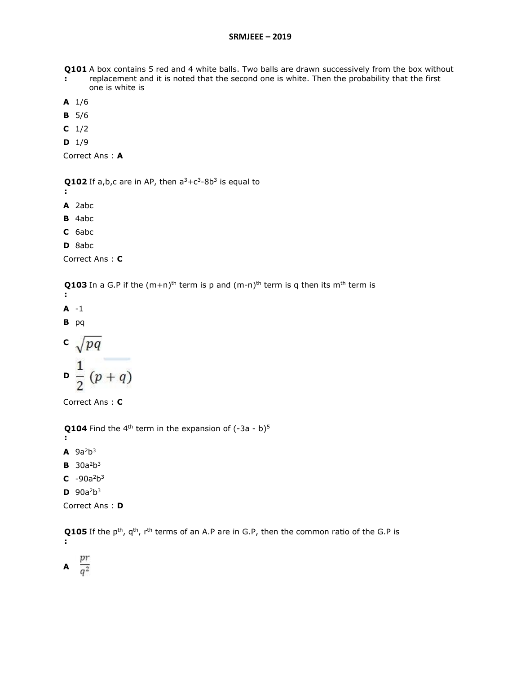**Q101**  A box contains 5 red and 4 white balls. Two balls are drawn successively from the box without

- **:** replacement and it is noted that the second one is white. Then the probability that the first one is white is
- **A** 1/6
- **B** 5/6
- **C** 1/2
- **D** 1/9

```
Correct Ans : A
```
**Q102** If a,b,c are in AP, then  $a^3+c^3-8b^3$  is equal to

- **:**
- **A** 2abc
- **B** 4abc
- **C** 6abc
- **D** 8abc

Correct Ans : **C**

**Q103** In a G.P if the  $(m+n)^{th}$  term is p and  $(m-n)^{th}$  term is q then its m<sup>th</sup> term is **:**

**A** -1

**B** pq

c 
$$
\sqrt{pq}
$$
  
\n $\frac{1}{2}(p+q)$ 

Correct Ans : **C**

**Q104** Find the 4<sup>th</sup> term in the expansion of  $(-3a - b)^5$ 

**:**  $\mathsf{A}$  9a<sup>2</sup>b<sup>3</sup>

- **B**  $30a^2b^3$
- $C$  -90a<sup>2</sup>b<sup>3</sup>
- $D \ 90a^2b^3$

```
Correct Ans : D
```
**Q105** If the p<sup>th</sup>, q<sup>th</sup>, r<sup>th</sup> terms of an A.P are in G.P, then the common ratio of the G.P is **:**

**A**  $\frac{pr}{q^2}$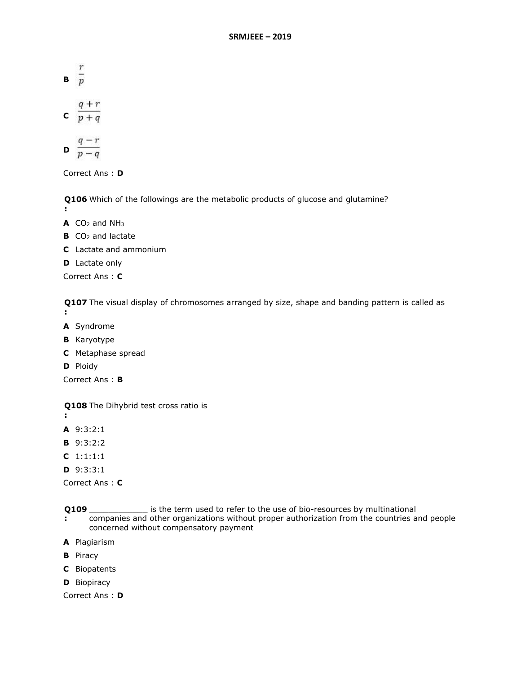- **B**  $\frac{r}{p}$
- **c**  $\frac{q+r}{p+q}$

$$
\mathbf{D} \ \frac{q-r}{p-q}
$$

Correct Ans : **D**

**Q106**  Which of the followings are the metabolic products of glucose and glutamine? **:**

- **A** CO<sup>2</sup> and NH<sup>3</sup>
- **B** CO<sub>2</sub> and lactate
- **C** Lactate and ammonium
- **D** Lactate only

Correct Ans : **C**

**Q107**  The visual display of chromosomes arranged by size, shape and banding pattern is called as

- **:**
- **A** Syndrome
- **B** Karyotype
- **C** Metaphase spread
- **D** Ploidy

Correct Ans : **B**

**Q108**  The Dihybrid test cross ratio is

- **:**
- **A** 9:3:2:1
- **B** 9:3:2:2
- **C** 1:1:1:1
- **D** 9:3:3:1

Correct Ans : **C**

- **Q109 :** \_\_\_\_\_\_\_\_\_\_\_\_ is the term used to refer to the use of bio-resources by multinational
- companies and other organizations without proper authorization from the countries and people concerned without compensatory payment
- **A** Plagiarism
- **B** Piracy
- **C** Biopatents
- **D** Biopiracy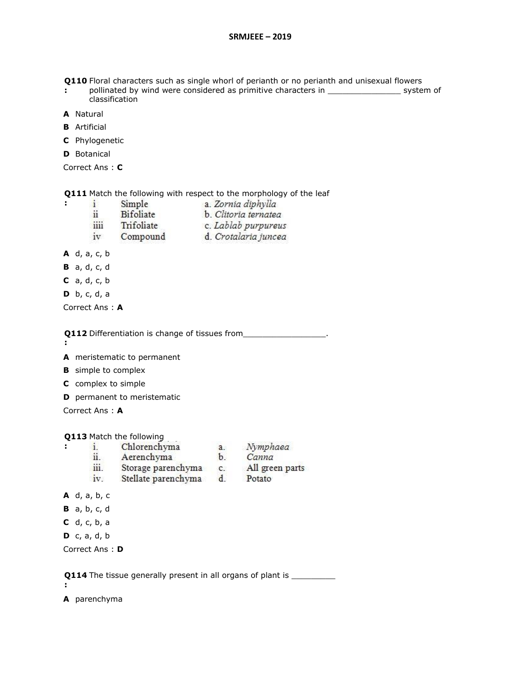**Q110**  Floral characters such as single whorl of perianth or no perianth and unisexual flowers

- **:** pollinated by wind were considered as primitive characters in \_\_\_\_\_\_\_\_\_\_\_\_\_\_\_\_\_\_ system of classification
- **A** Natural
- **B** Artificial
- **C** Phylogenetic

**D** Botanical

Correct Ans : **C**

**Q111**  Match the following with respect to the morphology of the leaf

- $\mathbf{i}$ Simple a. Zornia diphylla **Bifoliate** ii b. Clitoria ternatea
	- iiii Trifoliate c. Lablab purpureus
- Compound d. Crotalaria juncea iv
- **A** d, a, c, b
- **B** a, d, c, d
- **C** a, d, c, b
- **D** b, c, d, a

Correct Ans : **A**

**Q112** Differentiation is change of tissues from\_\_\_\_\_\_\_\_\_\_\_\_\_\_\_\_\_\_\_.

**:**

**:**

**:**

**A** meristematic to permanent

- **B** simple to complex
- **C** complex to simple
- **D** permanent to meristematic

Correct Ans : **A**

**Q113**  Match the following

- $\mathbf{i}$ . Chlorenchyma
- ii. Aerenchyma
- b. Canna
- iii. Storage parenchyma c. All green parts
- Stellate parenchyma d. Potato  $iv$
- 

- **A** d, a, b, c
- **B** a, b, c, d
- **C** d, c, b, a
- **D** c, a, d, b

Correct Ans : **D**

**Q114** The tissue generally present in all organs of plant is \_\_\_\_\_\_\_\_\_\_\_

**:**

**A** parenchyma

a. Nymphaea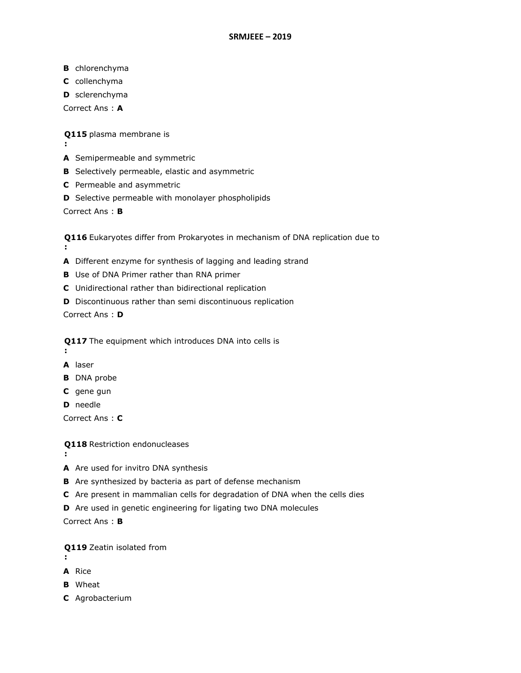- **B** chlorenchyma
- **C** collenchyma
- **D** sclerenchyma
- Correct Ans : **A**

**Q115**  plasma membrane is

- **:**
- **A** Semipermeable and symmetric
- **B** Selectively permeable, elastic and asymmetric
- **C** Permeable and asymmetric
- **D** Selective permeable with monolayer phospholipids

Correct Ans : **B**

**Q116**  Eukaryotes differ from Prokaryotes in mechanism of DNA replication due to **:**

- **A** Different enzyme for synthesis of lagging and leading strand
- **B** Use of DNA Primer rather than RNA primer
- **C** Unidirectional rather than bidirectional replication
- **D** Discontinuous rather than semi discontinuous replication

Correct Ans : **D**

**Q117**  The equipment which introduces DNA into cells is

**A** laser

**:**

- **B** DNA probe
- **C** gene gun
- **D** needle

Correct Ans : **C**

**Q118**  Restriction endonucleases

- **:**
- **A** Are used for invitro DNA synthesis
- **B** Are synthesized by bacteria as part of defense mechanism
- **C** Are present in mammalian cells for degradation of DNA when the cells dies
- **D** Are used in genetic engineering for ligating two DNA molecules

Correct Ans : **B**

**Q119**  Zeatin isolated from

- **:**
- **A** Rice
- **B** Wheat
- **C** Agrobacterium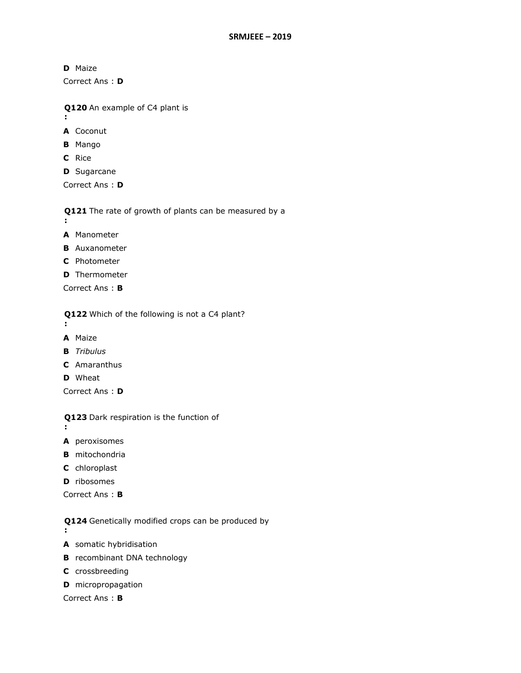**D** Maize

Correct Ans : **D**

**Q120**  An example of C4 plant is

- **:**
- **A** Coconut
- **B** Mango
- **C** Rice
- **D** Sugarcane

Correct Ans : **D**

**Q121**  The rate of growth of plants can be measured by a **:**

- **A** Manometer
- **B** Auxanometer
- **C** Photometer
- **D** Thermometer
- Correct Ans : **B**

**Q122**  Which of the following is not a C4 plant?

**:**

**:**

- **A** Maize
- **B** *Tribulus*
- **C** Amaranthus
- **D** Wheat

Correct Ans : **D**

**Q123**  Dark respiration is the function of

- **A** peroxisomes
- **B** mitochondria
- **C** chloroplast
- **D** ribosomes

Correct Ans : **B**

**Q124**  Genetically modified crops can be produced by

- **:**
- **A** somatic hybridisation
- **B** recombinant DNA technology
- **C** crossbreeding
- **D** micropropagation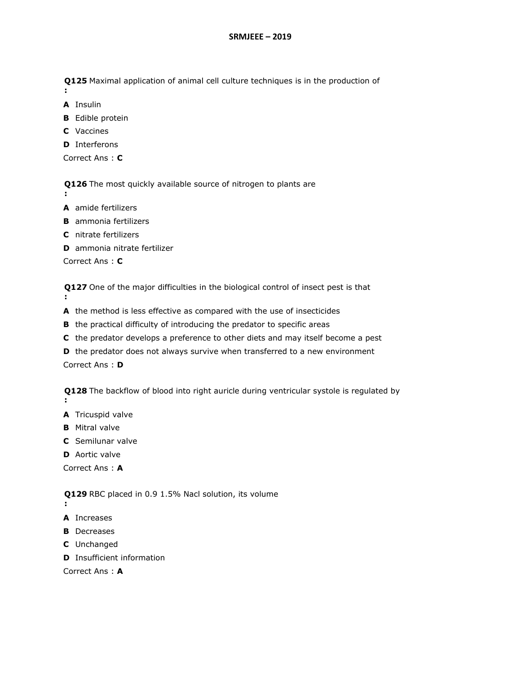**Q125**  Maximal application of animal cell culture techniques is in the production of

**A** Insulin

**:**

- **B** Edible protein
- **C** Vaccines
- **D** Interferons

```
Correct Ans : C
```
**Q126**  The most quickly available source of nitrogen to plants are

- **:**
- **A** amide fertilizers
- **B** ammonia fertilizers
- **C** nitrate fertilizers
- **D** ammonia nitrate fertilizer

Correct Ans : **C**

**Q127**  One of the major difficulties in the biological control of insect pest is that **:**

- **A** the method is less effective as compared with the use of insecticides
- **B** the practical difficulty of introducing the predator to specific areas
- **C** the predator develops a preference to other diets and may itself become a pest
- **D** the predator does not always survive when transferred to a new environment

Correct Ans : **D**

**Q128**  The backflow of blood into right auricle during ventricular systole is regulated by **:**

- **A** Tricuspid valve
- **B** Mitral valve
- **C** Semilunar valve
- **D** Aortic valve

Correct Ans : **A**

**Q129**  RBC placed in 0.9 1.5% Nacl solution, its volume

- **:**
- **A** Increases
- **B** Decreases
- **C** Unchanged
- **D** Insufficient information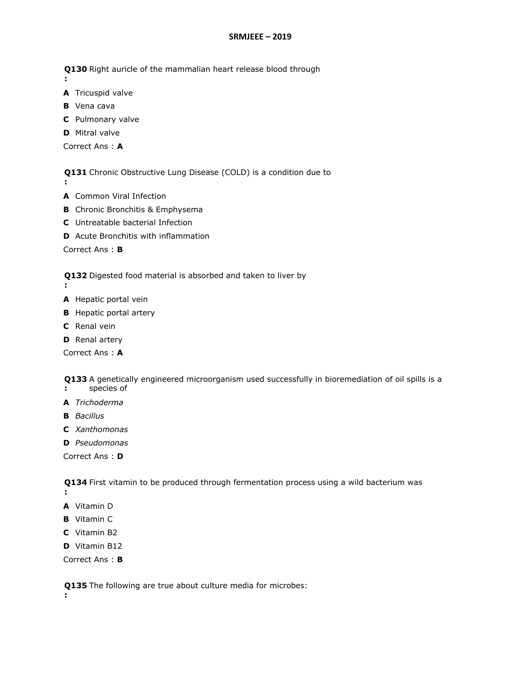## **SRMJEEE – 2019**

**Q130**  Right auricle of the mammalian heart release blood through

**:**

**:**

- **A** Tricuspid valve
- **B** Vena cava
- **C** Pulmonary valve
- **D** Mitral valve

Correct Ans : **A**

**Q131**  Chronic Obstructive Lung Disease (COLD) is a condition due to

- **A** Common Viral Infection
- **B** Chronic Bronchitis & Emphysema
- **C** Untreatable bacterial Infection
- **D** Acute Bronchitis with inflammation

Correct Ans : **B**

**Q132**  Digested food material is absorbed and taken to liver by

- **:**
- **A** Hepatic portal vein
- **B** Hepatic portal artery
- **C** Renal vein
- **D** Renal artery

Correct Ans : **A**

**Q133**  A genetically engineered microorganism used successfully in bioremediation of oil spills is a **:** species of

- **A** *Trichoderma*
- **B** *Bacillus*
- **C** *Xanthomonas*
- **D** *Pseudomonas*

Correct Ans : **D**

**Q134**  First vitamin to be produced through fermentation process using a wild bacterium was

- **:**
- **A** Vitamin D
- **B** Vitamin C
- **C** Vitamin B2
- **D** Vitamin B12

Correct Ans : **B**

**Q135**  The following are true about culture media for microbes:

**:**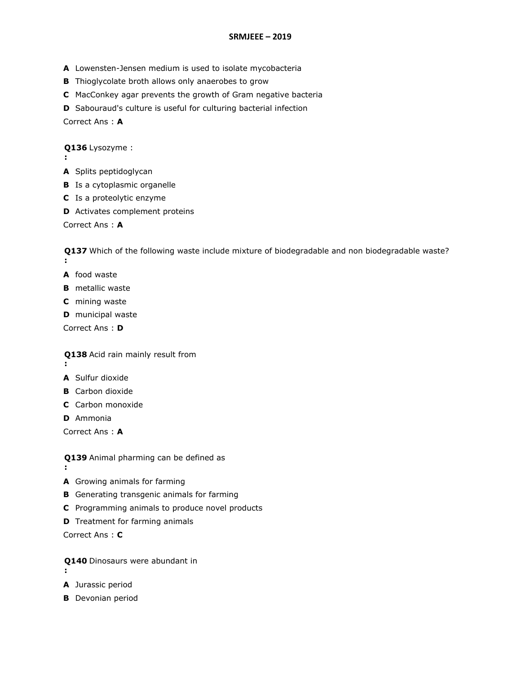- **A** Lowensten-Jensen medium is used to isolate mycobacteria
- **B** Thioglycolate broth allows only anaerobes to grow
- **C** MacConkey agar prevents the growth of Gram negative bacteria
- **D** Sabouraud's culture is useful for culturing bacterial infection

Correct Ans : **A**

**Q136**  Lysozyme :

- **:**
- **A** Splits peptidoglycan
- **B** Is a cytoplasmic organelle
- **C** Is a proteolytic enzyme
- **D** Activates complement proteins

Correct Ans : **A**

**Q137**  Which of the following waste include mixture of biodegradable and non biodegradable waste? **:**

- **A** food waste
- **B** metallic waste
- **C** mining waste
- **D** municipal waste

Correct Ans : **D**

**Q138**  Acid rain mainly result from

- **:**
- **A** Sulfur dioxide
- **B** Carbon dioxide
- **C** Carbon monoxide
- **D** Ammonia

Correct Ans : **A**

**Q139**  Animal pharming can be defined as

**:**

**A** Growing animals for farming

- **B** Generating transgenic animals for farming
- **C** Programming animals to produce novel products
- **D** Treatment for farming animals

- **Q140**  Dinosaurs were abundant in
- **:**
- **A** Jurassic period
- **B** Devonian period